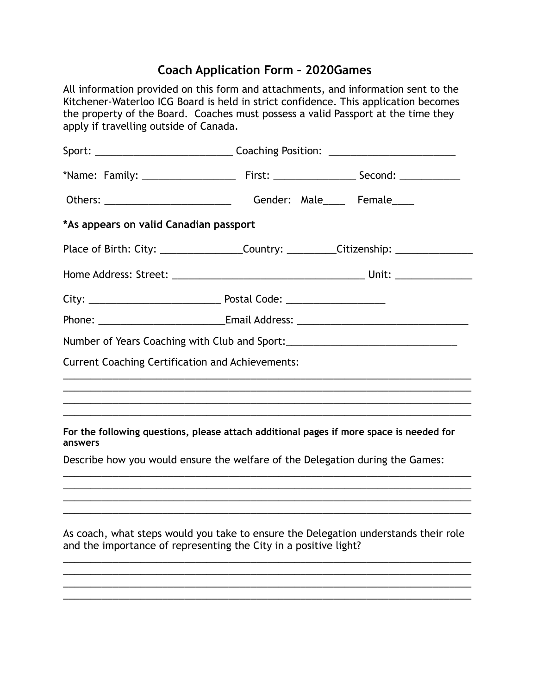## **Coach Application Form – 2020Games**

All information provided on this form and attachments, and information sent to the Kitchener-Waterloo ICG Board is held in strict confidence. This application becomes the property of the Board. Coaches must possess a valid Passport at the time they apply if travelling outside of Canada. Sport: \_\_\_\_\_\_\_\_\_\_\_\_\_\_\_\_\_\_\_\_\_\_\_\_\_ Coaching Position: \_\_\_\_\_\_\_\_\_\_\_\_\_\_\_\_\_\_\_\_\_\_\_ \*Name: Family: \_\_\_\_\_\_\_\_\_\_\_\_\_\_\_\_\_ First: \_\_\_\_\_\_\_\_\_\_\_\_\_\_\_ Second: \_\_\_\_\_\_\_\_\_\_\_ Others: \_\_\_\_\_\_\_\_\_\_\_\_\_\_\_\_\_\_\_\_\_\_\_\_\_\_\_\_\_\_\_\_\_Gender: Male\_\_\_\_\_\_ Female\_\_\_\_\_ **\*As appears on valid Canadian passport**  Place of Birth: City: \_\_\_\_\_\_\_\_\_\_\_\_\_\_\_\_\_\_\_Country: \_\_\_\_\_\_\_\_\_\_\_Citizenship: \_\_\_\_\_\_\_\_\_\_\_\_\_ Home Address: Street: \_\_\_\_\_\_\_\_\_\_\_\_\_\_\_\_\_\_\_\_\_\_\_\_\_\_\_\_\_\_\_\_\_\_\_ Unit: \_\_\_\_\_\_\_\_\_\_\_\_\_\_ City: \_\_\_\_\_\_\_\_\_\_\_\_\_\_\_\_\_\_\_\_\_\_\_\_ Postal Code: \_\_\_\_\_\_\_\_\_\_\_\_\_\_\_\_\_\_ Phone: \_\_\_\_\_\_\_\_\_\_\_\_\_\_\_\_\_\_\_\_\_\_\_\_\_\_\_\_\_\_\_Email Address: \_\_\_\_\_\_\_\_\_\_\_\_\_\_\_\_\_\_\_\_\_\_\_\_\_\_\_\_ Number of Years Coaching with Club and Sport: \_\_\_\_\_\_\_\_\_\_\_\_\_\_\_\_\_\_\_\_\_\_\_\_\_\_\_\_\_\_\_\_\_\_ Current Coaching Certification and Achievements: \_\_\_\_\_\_\_\_\_\_\_\_\_\_\_\_\_\_\_\_\_\_\_\_\_\_\_\_\_\_\_\_\_\_\_\_\_\_\_\_\_\_\_\_\_\_\_\_\_\_\_\_\_\_\_\_\_\_\_\_\_\_\_\_\_\_\_\_\_\_\_\_\_\_ \_\_\_\_\_\_\_\_\_\_\_\_\_\_\_\_\_\_\_\_\_\_\_\_\_\_\_\_\_\_\_\_\_\_\_\_\_\_\_\_\_\_\_\_\_\_\_\_\_\_\_\_\_\_\_\_\_\_\_\_\_\_\_\_\_\_\_\_\_\_\_\_\_\_ \_\_\_\_\_\_\_\_\_\_\_\_\_\_\_\_\_\_\_\_\_\_\_\_\_\_\_\_\_\_\_\_\_\_\_\_\_\_\_\_\_\_\_\_\_\_\_\_\_\_\_\_\_\_\_\_\_\_\_\_\_\_\_\_\_\_\_\_\_\_\_\_\_\_ \_\_\_\_\_\_\_\_\_\_\_\_\_\_\_\_\_\_\_\_\_\_\_\_\_\_\_\_\_\_\_\_\_\_\_\_\_\_\_\_\_\_\_\_\_\_\_\_\_\_\_\_\_\_\_\_\_\_\_\_\_\_\_\_\_\_\_\_\_\_\_\_\_\_ **For the following questions, please attach additional pages if more space is needed for answers**  Describe how you would ensure the welfare of the Delegation during the Games: \_\_\_\_\_\_\_\_\_\_\_\_\_\_\_\_\_\_\_\_\_\_\_\_\_\_\_\_\_\_\_\_\_\_\_\_\_\_\_\_\_\_\_\_\_\_\_\_\_\_\_\_\_\_\_\_\_\_\_\_\_\_\_\_\_\_\_\_\_\_\_\_\_\_ \_\_\_\_\_\_\_\_\_\_\_\_\_\_\_\_\_\_\_\_\_\_\_\_\_\_\_\_\_\_\_\_\_\_\_\_\_\_\_\_\_\_\_\_\_\_\_\_\_\_\_\_\_\_\_\_\_\_\_\_\_\_\_\_\_\_\_\_\_\_\_\_\_\_ \_\_\_\_\_\_\_\_\_\_\_\_\_\_\_\_\_\_\_\_\_\_\_\_\_\_\_\_\_\_\_\_\_\_\_\_\_\_\_\_\_\_\_\_\_\_\_\_\_\_\_\_\_\_\_\_\_\_\_\_\_\_\_\_\_\_\_\_\_\_\_\_\_\_ \_\_\_\_\_\_\_\_\_\_\_\_\_\_\_\_\_\_\_\_\_\_\_\_\_\_\_\_\_\_\_\_\_\_\_\_\_\_\_\_\_\_\_\_\_\_\_\_\_\_\_\_\_\_\_\_\_\_\_\_\_\_\_\_\_\_\_\_\_\_\_\_\_\_ As coach, what steps would you take to ensure the Delegation understands their role and the importance of representing the City in a positive light? \_\_\_\_\_\_\_\_\_\_\_\_\_\_\_\_\_\_\_\_\_\_\_\_\_\_\_\_\_\_\_\_\_\_\_\_\_\_\_\_\_\_\_\_\_\_\_\_\_\_\_\_\_\_\_\_\_\_\_\_\_\_\_\_\_\_\_\_\_\_\_\_\_\_ \_\_\_\_\_\_\_\_\_\_\_\_\_\_\_\_\_\_\_\_\_\_\_\_\_\_\_\_\_\_\_\_\_\_\_\_\_\_\_\_\_\_\_\_\_\_\_\_\_\_\_\_\_\_\_\_\_\_\_\_\_\_\_\_\_\_\_\_\_\_\_\_\_\_

\_\_\_\_\_\_\_\_\_\_\_\_\_\_\_\_\_\_\_\_\_\_\_\_\_\_\_\_\_\_\_\_\_\_\_\_\_\_\_\_\_\_\_\_\_\_\_\_\_\_\_\_\_\_\_\_\_\_\_\_\_\_\_\_\_\_\_\_\_\_\_\_\_\_